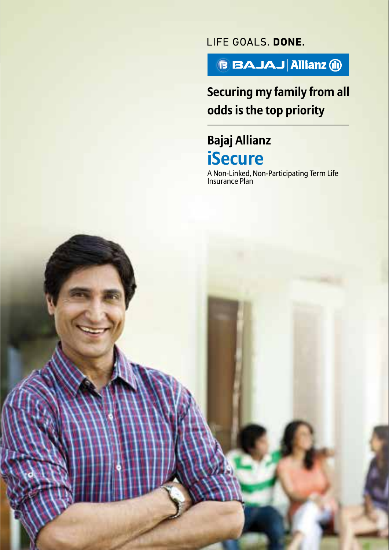LIFE GOALS. DONE.



# **Securing my family from all odds is the top priority**

# **Bajaj Allianz iSecure**

**SECURING MY FAMILY FROM ALL ODDS IS THE TOP PRIORITY**

A Non-Linked, Non-Participating Term Life Insurance Plan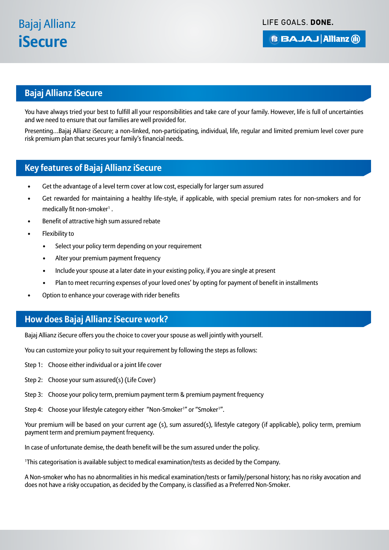LIFE GOALS, DONE.

**BBAJAJ Allianz (ii)** 

# **Bajaj Allianz iSecure**

You have always tried your best to fulfill all your responsibilities and take care of your family. However, life is full of uncertainties and we need to ensure that our families are well provided for.

Presenting…Bajaj Allianz iSecure; a non-linked, non-participating, individual, life, regular and limited premium level cover pure risk premium plan that secures your family's financial needs.

# **Key features of Bajaj Allianz iSecure**

- Get the advantage of a level term cover at low cost, especially for larger sum assured
- Get rewarded for maintaining a healthy life-style, if applicable, with special premium rates for non-smokers and for medically fit non-smoker<sup>1</sup>.
- Benefit of attractive high sum assured rebate
- Flexibility to
	- Select your policy term depending on your requirement
	- Alter your premium payment frequency
	- Include your spouse at a later date in your existing policy, if you are single at present
	- Plan to meet recurring expenses of your loved ones' by opting for payment of benefit in installments
- Option to enhance your coverage with rider benefits

#### **How does Bajaj Allianz iSecure work?**

Bajaj Allianz iSecure offers you the choice to cover your spouse as well jointly with yourself.

You can customize your policy to suit your requirement by following the steps as follows:

- Step 1: Choose either individual or a joint life cover
- Step 2: Choose your sum assured(s) (Life Cover)
- Step 3: Choose your policy term, premium payment term & premium payment frequency
- Step 4: Choose your lifestyle category either "Non-Smoker<sup>1</sup>" or "Smoker<sup>1</sup>".

Your premium will be based on your current age (s), sum assured(s), lifestyle category (if applicable), policy term, premium payment term and premium payment frequency.

In case of unfortunate demise, the death benefit will be the sum assured under the policy.

1 This categorisation is available subject to medical examination/tests as decided by the Company.

A Non-smoker who has no abnormalities in his medical examination/tests or family/personal history; has no risky avocation and does not have a risky occupation, as decided by the Company, is classified as a Preferred Non-Smoker.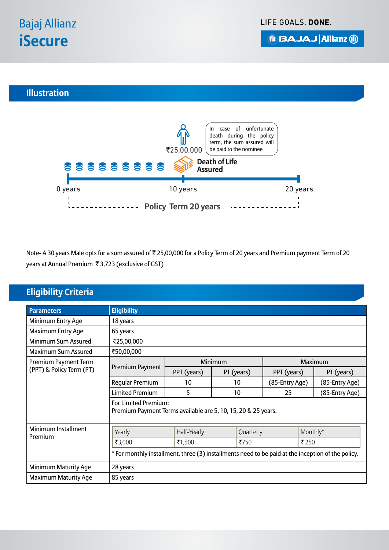**BBAJAJ Allianz (ii)** 

# **Illustration**



Note- A 30 years Male opts for a sum assured of ₹ 25,00,000 for a Policy Term of 20 years and Premium payment Term of 20 years at Annual Premium ₹3,723 (exclusive of GST)

# **Eligibility Criteria**

| <b>Parameters</b>           | <b>Eligibility</b>                                                                                |             |            |                |  |                |  |
|-----------------------------|---------------------------------------------------------------------------------------------------|-------------|------------|----------------|--|----------------|--|
| Minimum Entry Age           | 18 years                                                                                          |             |            |                |  |                |  |
| Maximum Entry Age           | 65 years                                                                                          |             |            |                |  |                |  |
| Minimum Sum Assured         | ₹25,00,000                                                                                        |             |            |                |  |                |  |
| Maximum Sum Assured         | ₹50,00,000                                                                                        |             |            |                |  |                |  |
| Premium Payment Term        | Premium Payment                                                                                   | Minimum     |            | Maximum        |  |                |  |
| (PPT) & Policy Term (PT)    |                                                                                                   | PPT (years) | PT (years) | PPT (years)    |  | PT (years)     |  |
|                             | Regular Premium                                                                                   | 10          | 10         | (85-Entry Age) |  | (85-Entry Age) |  |
|                             | <b>Limited Premium</b>                                                                            | 5           | 10         | 25             |  | (85-Entry Age) |  |
|                             | For Limited Premium:<br>Premium Payment Terms available are 5, 10, 15, 20 & 25 years.             |             |            |                |  |                |  |
| Minimum Installment         | Monthly*<br>Half-Yearly<br>Yearly<br>Quarterly                                                    |             |            |                |  |                |  |
| Premium                     | ₹3,000                                                                                            | ₹1,500      | ₹750       |                |  | ₹250           |  |
|                             | * For monthly installment, three (3) installments need to be paid at the inception of the policy. |             |            |                |  |                |  |
| Minimum Maturity Age        | 28 years                                                                                          |             |            |                |  |                |  |
| <b>Maximum Maturity Age</b> | 85 years                                                                                          |             |            |                |  |                |  |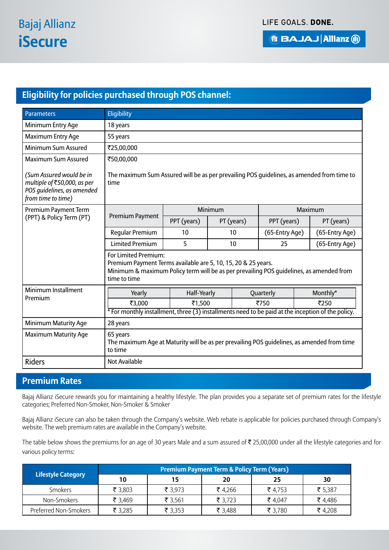# **Eligibility for policies purchased through POS channel:**

| <b>Parameters</b>                                                                                           | Eligibility                                                                                                                                                                                      |             |            |                |                |            |
|-------------------------------------------------------------------------------------------------------------|--------------------------------------------------------------------------------------------------------------------------------------------------------------------------------------------------|-------------|------------|----------------|----------------|------------|
| Minimum Entry Age                                                                                           | 18 years                                                                                                                                                                                         |             |            |                |                |            |
| Maximum Entry Age                                                                                           | 55 years                                                                                                                                                                                         |             |            |                |                |            |
| Minimum Sum Assured                                                                                         | ₹25,00,000                                                                                                                                                                                       |             |            |                |                |            |
| <b>Maximum Sum Assured</b>                                                                                  | ₹50,00,000                                                                                                                                                                                       |             |            |                |                |            |
| (Sum Assured would be in<br>multiple of ₹50,000, as per<br>POS quidelines, as amended<br>from time to time) | The maximum Sum Assured will be as per prevailing POS guidelines, as amended from time to<br>time                                                                                                |             |            |                |                |            |
| Premium Payment Term                                                                                        |                                                                                                                                                                                                  | Minimum     |            |                | Maximum        |            |
| (PPT) & Policy Term (PT)                                                                                    | Premium Payment                                                                                                                                                                                  | PPT (years) | PT (years) |                | PPT (years)    | PT (years) |
|                                                                                                             | Regular Premium<br>10<br>10                                                                                                                                                                      |             |            | (65-Entry Age) | (65-Entry Age) |            |
|                                                                                                             | <b>Limited Premium</b><br>5<br>10<br>25                                                                                                                                                          |             |            |                | (65-Entry Age) |            |
|                                                                                                             | For Limited Premium:<br>Premium Payment Terms available are 5, 10, 15, 20 & 25 years.<br>Minimum & maximum Policy term will be as per prevailing POS quidelines, as amended from<br>time to time |             |            |                |                |            |
| Minimum Installment                                                                                         | Monthly*<br>Yearly<br>Half-Yearly<br>Quarterly<br>₹750<br>₹250<br>₹3,000<br>₹1,500                                                                                                               |             |            |                |                |            |
| Premium                                                                                                     |                                                                                                                                                                                                  |             |            |                |                |            |
|                                                                                                             | * For monthly installment, three (3) installments need to be paid at the inception of the policy.                                                                                                |             |            |                |                |            |
| <b>Minimum Maturity Age</b>                                                                                 | 28 years                                                                                                                                                                                         |             |            |                |                |            |
| <b>Maximum Maturity Age</b>                                                                                 | 65 years<br>The maximum Age at Maturity will be as per prevailing POS guidelines, as amended from time<br>to time                                                                                |             |            |                |                |            |
| <b>Riders</b>                                                                                               | <b>Not Available</b>                                                                                                                                                                             |             |            |                |                |            |

# **Premium Rates**

Bajaj Allianz iSecure rewards you for maintaining a healthy lifestyle. The plan provides you a separate set of premium rates for the lifestyle categories; Preferred Non-Smoker, Non-Smoker & Smoker

Bajaj Allianz iSecure can also be taken through the Company's website. Web rebate is applicable for policies purchased through Company's website. The web premium rates are available in the Company's website.

The table below shows the premiums for an age of 30 years Male and a sum assured of  $\bar{\tau}$  25,00,000 under all the lifestyle categories and for various policy terms:

|                       | <b>Premium Payment Term &amp; Policy Term (Years)</b> |         |         |         |         |  |
|-----------------------|-------------------------------------------------------|---------|---------|---------|---------|--|
| Lifestyle Category    | 10                                                    | 15      | 20      | 25      | 30      |  |
| Smokers               | ₹ 3,803                                               | ₹ 3,973 | ₹4,266  | ₹4,753  | ₹ 5,387 |  |
| Non-Smokers           | ₹ 3,469                                               | ₹ 3,561 | ₹ 3,723 | ₹4,047  | ₹4,486  |  |
| Preferred Non-Smokers | ₹ 3,285                                               | ₹ 3,353 | ₹ 3,488 | ₹ 3,780 | ₹4,208  |  |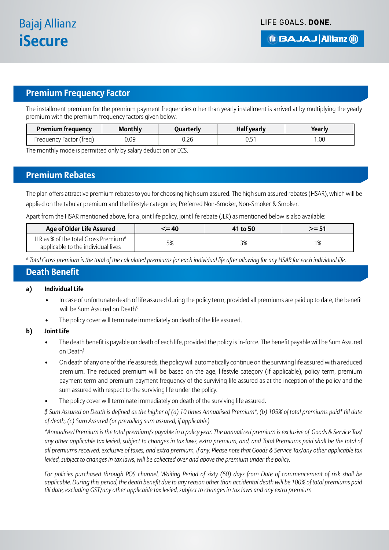# **Premium Frequency Factor**

The installment premium for the premium payment frequencies other than yearly installment is arrived at by multiplying the yearly premium with the premium frequency factors given below.

| Premium frequency              | <b>Monthly</b> | Juarterly | vearly<br>наіт | $\blacksquare$<br>Yearly<br>car |
|--------------------------------|----------------|-----------|----------------|---------------------------------|
| ' freal<br>-actor<br>Freauencv | 0.09           | 0.26      | ⌒冖<br>◡.◡      | .00                             |

The monthly mode is permitted only by salary deduction or ECS.

#### **Premium Rebates**

The plan offers attractive premium rebates to you for choosing high sum assured. The high sum assured rebates (HSAR), which will be applied on the tabular premium and the lifestyle categories; Preferred Non-Smoker, Non-Smoker & Smoker.

Apart from the HSAR mentioned above, for a joint life policy, joint life rebate (JLR) as mentioned below is also available:

| <b>Age of Older Life Assured</b>                                                       | $\leq$ = 40 | 41 to 50 | >= 51 |
|----------------------------------------------------------------------------------------|-------------|----------|-------|
| JLR as % of the total Gross Premium <sup>#</sup><br>applicable to the individual lives | 5%          | 3%       | 10/   |

*# Total Gross premium is the total of the calculated premiums for each individual life after allowing for any HSAR for each individual life.*

#### **Death Benefit**

#### **a) Individual Life**

- In case of unfortunate death of life assured during the policy term, provided all premiums are paid up to date, the benefit will be Sum Assured on Death<sup>\$</sup>
- The policy cover will terminate immediately on death of the life assured.

#### **b) Joint Life**

- The death benefit is payable on death of each life, provided the policy is in-force. The benefit payable will be Sum Assured on Death\$
- On death of any one of the life assureds, the policy will automatically continue on the surviving life assured with a reduced premium. The reduced premium will be based on the age, lifestyle category (if applicable), policy term, premium payment term and premium payment frequency of the surviving life assured as at the inception of the policy and the sum assured with respect to the surviving life under the policy.
- The policy cover will terminate immediately on death of the surviving life assured.

*\$ Sum Assured on Death is defined as the higher of (a) 10 times Annualised Premium\*, (b) 105% of total premiums paid\* till date of death, (c) Sum Assured (or prevailing sum assured, if applicable)*

*\*Annualised Premium is the total premium/s payable in a policy year. The annualized premium is exclusive of Goods & Service Tax/ any other applicable tax levied, subject to changes in tax laws, extra premium, and, and Total Premiums paid shall be the total of all premiums received, exclusive of taxes, and extra premium, if any. Please note that Goods & Service Tax/any other applicable tax levied, subject to changes in tax laws, will be collected over and above the premium under the policy.* 

*For policies purchased through POS channel, Waiting Period of sixty (60) days from Date of commencement of risk shall be applicable. During this period, the death benefit due to any reason other than accidental death will be 100% of total premiums paid till date, excluding GST/any other applicable tax levied, subject to changes in tax laws and any extra premium*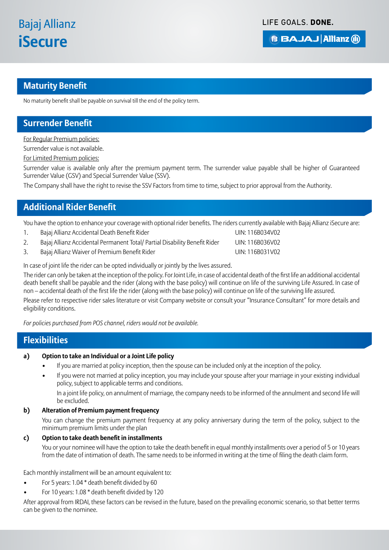# **Maturity Benefit**

No maturity benefit shall be payable on survival till the end of the policy term.

### **Surrender Benefit**

For Regular Premium policies:

Surrender value is not available.

For Limited Premium policies:

Surrender value is available only after the premium payment term. The surrender value payable shall be higher of Guaranteed Surrender Value (GSV) and Special Surrender Value (SSV).

The Company shall have the right to revise the SSV Factors from time to time, subject to prior approval from the Authority.

## **Additional Rider Benefit**

You have the option to enhance your coverage with optional rider benefits. The riders currently available with Bajaj Allianz iSecure are:

- 1. Bajaj Allianz Accidental Death Benefit Rider UIN: 116B034V02
- 2. Bajaj Allianz Accidental Permanent Total/ Partial Disability Benefit Rider UIN: 116B036V02
- 3. Bajaj Allianz Waiver of Premium Benefit Rider November 2012 116B031V02

In case of joint life the rider can be opted individually or jointly by the lives assured.

The rider can only be taken at the inception of the policy. For Joint Life, in case of accidental death of the first life an additional accidental death benefit shall be payable and the rider (along with the base policy) will continue on life of the surviving Life Assured. In case of non – accidental death of the first life the rider (along with the base policy) will continue on life of the surviving life assured.

Please refer to respective rider sales literature or visit Company website or consult your "Insurance Consultant" for more details and eligibility conditions.

*For policies purchased from POS channel, riders would not be available.*

#### **Flexibilities**

#### **a) Option to take an Individual or a Joint Life policy**

- If you are married at policy inception, then the spouse can be included only at the inception of the policy.
- If you were not married at policy inception, you may include your spouse after your marriage in your existing individual policy, subject to applicable terms and conditions.

In a joint life policy, on annulment of marriage, the company needs to be informed of the annulment and second life will be excluded.

#### **b) Alteration of Premium payment frequency**

You can change the premium payment frequency at any policy anniversary during the term of the policy, subject to the minimum premium limits under the plan

#### **c) Option to take death benefit in installments**

You or your nominee will have the option to take the death benefit in equal monthly installments over a period of 5 or 10 years from the date of intimation of death. The same needs to be informed in writing at the time of filing the death claim form.

Each monthly installment will be an amount equivalent to:

- For 5 years: 1.04 \* death benefit divided by 60
- For 10 years: 1.08 \* death benefit divided by 120

After approval from IRDAI, these factors can be revised in the future, based on the prevailing economic scenario, so that better terms can be given to the nominee.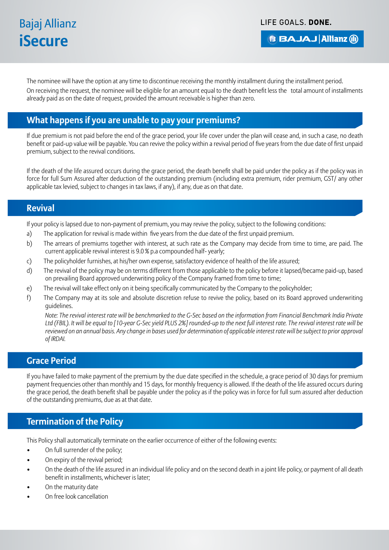# Bajaj Allianz **iSecure**

LIFE GOALS, DONE.

# **B BAJAJ Allianz (ii)**

The nominee will have the option at any time to discontinue receiving the monthly installment during the installment period.

On receiving the request, the nominee will be eligible for an amount equal to the death benefit less the total amount of installments already paid as on the date of request, provided the amount receivable is higher than zero.

# **What happens if you are unable to pay your premiums?**

If due premium is not paid before the end of the grace period, your life cover under the plan will cease and, in such a case, no death benefit or paid-up value will be payable. You can revive the policy within a revival period of five years from the due date of first unpaid premium, subject to the revival conditions.

If the death of the life assured occurs during the grace period, the death benefit shall be paid under the policy as if the policy was in force for full Sum Assured after deduction of the outstanding premium (including extra premium, rider premium, GST/ any other applicable tax levied, subject to changes in tax laws, if any), if any, due as on that date.

#### **Revival**

If your policy is lapsed due to non-payment of premium, you may revive the policy, subject to the following conditions:

- a) The application for revival is made within five years from the due date of the first unpaid premium.
- b) The arrears of premiums together with interest, at such rate as the Company may decide from time to time, are paid. The current applicable revival interest is 9.0 % p.a compounded half- yearly;
- c) The policyholder furnishes, at his/her own expense, satisfactory evidence of health of the life assured;
- d) The revival of the policy may be on terms different from those applicable to the policy before it lapsed/became paid-up, based on prevailing Board approved underwriting policy of the Company framed from time to time;
- e) The revival will take effect only on it being specifically communicated by the Company to the policyholder;
- f) The Company may at its sole and absolute discretion refuse to revive the policy, based on its Board approved underwriting guidelines.

 *Note: The revival interest rate will be benchmarked to the G-Sec based on the information from Financial Benchmark India Private Ltd (FBIL). It will be equal to [10-year G-Sec yield PLUS 2%] rounded-up to the next full interest rate. The revival interest rate will be*  reviewed on an annual basis. Any change in bases used for determination of applicable interest rate will be subject to prior approval *of IRDAI.*

#### **Grace Period**

If you have failed to make payment of the premium by the due date specified in the schedule, a grace period of 30 days for premium payment frequencies other than monthly and 15 days, for monthly frequency is allowed. If the death of the life assured occurs during the grace period, the death benefit shall be payable under the policy as if the policy was in force for full sum assured after deduction of the outstanding premiums, due as at that date.

# **Termination of the Policy**

This Policy shall automatically terminate on the earlier occurrence of either of the following events:

- On full surrender of the policy;
- On expiry of the revival period;
- On the death of the life assured in an individual life policy and on the second death in a joint life policy, or payment of all death benefit in installments, whichever is later;
- On the maturity date
- On free look cancellation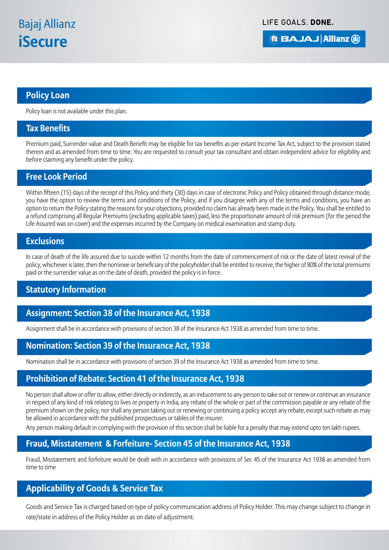**BBAJAJ Allianz (ii)** 

#### **Policy Loan**

Policy loan is not available under this plan.

#### **Tax Benefits**

Premium paid, Surrender value and Death Benefit may be eligible for tax benefits as per extant Income Tax Act, subject to the provision stated therein and as amended from time to time. You are requested to consult your tax consultant and obtain independent advice for eligibility and before claiming any benefit under the policy.

#### **Free Look Period**

Within fifteen (15) days of the receipt of this Policy and thirty (30) days in case of electronic Policy and Policy obtained through distance mode, you have the option to review the terms and conditions of the Policy, and if you disagree with any of the terms and conditions, you have an option to return the Policy stating the reasons for your objections, provided no claim has already been made in the Policy. You shall be entitled to a refund comprising all Regular Premiums (excluding applicable taxes) paid, less the proportionate amount of risk premium (for the period the Life Assured was on cover) and the expenses incurred by the Company on medical examination and stamp duty.

#### **Exclusions**

In case of death of the life assured due to suicide within 12 months from the date of commencement of risk or the date of latest revival of the policy, whichever is later, then the nominee or beneficiary of the policyholder shall be entitled to receive, the higher of 80% of the total premiums paid or the surrender value as on the date of death, provided the policy is in force.

## **Statutory Information**

#### **Assignment: Section 38 of the Insurance Act, 1938**

Assignment shall be in accordance with provisions of section 38 of the Insurance Act 1938 as amended from time to time.

#### **Nomination: Section 39 of the Insurance Act, 1938**

Nomination shall be in accordance with provisions of section 39 of the Insurance Act 1938 as amended from time to time.

#### **Prohibition of Rebate: Section 41 of the Insurance Act, 1938**

No person shall allow or offer to allow, either directly or indirectly, as an inducement to any person to take out or renew or continue an insurance in respect of any kind of risk relating to lives or property in India, any rebate of the whole or part of the commission payable or any rebate of the premium shown on the policy, nor shall any person taking out or renewing or continuing a policy accept any rebate, except such rebate as may be allowed in accordance with the published prospectuses or tables of the insurer.

Any person making default in complying with the provision of this section shall be liable for a penalty that may extend upto ten lakh rupees.

## **Fraud, Misstatement & Forfeiture- Section 45 of the Insurance Act, 1938**

Fraud, Misstatement and forfeiture would be dealt with in accordance with provisions of Sec 45 of the Insurance Act 1938 as amended from time to time

## **Applicability of Goods & Service Tax**

Goods and Service Tax is charged based on type of policy communication address of Policy Holder. This may change subject to change in rate/state in address of the Policy Holder as on date of adjustment.